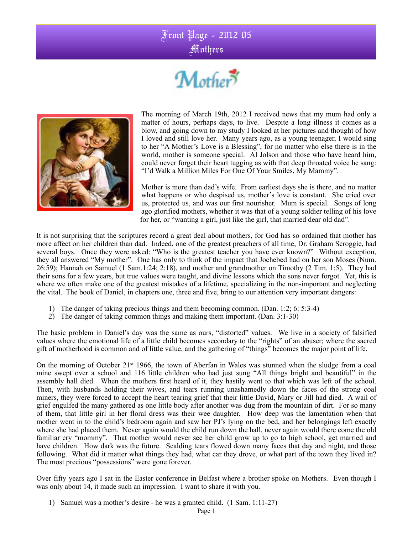## Front Page - 2012 05





The morning of March 19th, 2012 I received news that my mum had only a matter of hours, perhaps days, to live. Despite a long illness it comes as a blow, and going down to my study I looked at her pictures and thought of how I loved and still love her. Many years ago, as a young teenager, I would sing to her "A Mother's Love is a Blessing", for no matter who else there is in the world, mother is someone special. Al Jolson and those who have heard him, could never forget their heart tugging as with that deep throated voice he sang: "I'd Walk a Million Miles For One Of Your Smiles, My Mammy".

Mother is more than dad's wife. From earliest days she is there, and no matter what happens or who despised us, mother's love is constant. She cried over us, protected us, and was our first nourisher. Mum is special. Songs of long ago glorified mothers, whether it was that of a young soldier telling of his love for her, or "wanting a girl, just like the girl, that married dear old dad".

It is not surprising that the scriptures record a great deal about mothers, for God has so ordained that mother has more affect on her children than dad. Indeed, one of the greatest preachers of all time, Dr. Graham Scroggie, had several boys. Once they were asked: "Who is the greatest teacher you have ever known?" Without exception, they all answered "My mother". One has only to think of the impact that Jochebed had on her son Moses (Num. 26:59); Hannah on Samuel (1 Sam.1:24; 2:18), and mother and grandmother on Timothy (2 Tim. 1:5). They had their sons for a few years, but true values were taught, and divine lessons which the sons never forgot. Yet, this is where we often make one of the greatest mistakes of a lifetime, specializing in the non-important and neglecting the vital. The book of Daniel, in chapters one, three and five, bring to our attention very important dangers:

- 1) The danger of taking precious things and them becoming common. (Dan. 1:2; 6: 5:3-4)
- 2) The danger of taking common things and making them important. (Dan. 3:1-30)

The basic problem in Daniel's day was the same as ours, "distorted" values. We live in a society of falsified values where the emotional life of a little child becomes secondary to the "rights" of an abuser; where the sacred gift of motherhood is common and of little value, and the gathering of "things" becomes the major point of life.

On the morning of October 21st 1966, the town of Aberfan in Wales was stunned when the sludge from a coal mine swept over a school and 116 little children who had just sung "All things bright and beautiful" in the assembly hall died. When the mothers first heard of it, they hastily went to that which was left of the school. Then, with husbands holding their wives, and tears running unashamedly down the faces of the strong coal miners, they were forced to accept the heart tearing grief that their little David, Mary or Jill had died. A wail of grief engulfed the many gathered as one little body after another was dug from the mountain of dirt. For so many of them, that little girl in her floral dress was their wee daughter. How deep was the lamentation when that mother went in to the child's bedroom again and saw her PJ's lying on the bed, and her belongings left exactly where she had placed them. Never again would the child run down the hall, never again would there come the old familiar cry "mommy". That mother would never see her child grow up to go to high school, get married and have children. How dark was the future. Scalding tears flowed down many faces that day and night, and those following. What did it matter what things they had, what car they drove, or what part of the town they lived in? The most precious "possessions" were gone forever.

Over fifty years ago I sat in the Easter conference in Belfast where a brother spoke on Mothers. Even though I was only about 14, it made such an impression. I want to share it with you.

1) Samuel was a mother's desire - he was a granted child. (1 Sam. 1:11-27)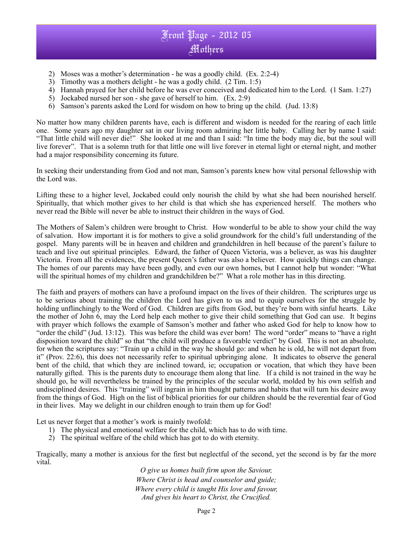## Front Page - 2012 05 Mothers

- 2) Moses was a mother's determination he was a goodly child. (Ex. 2:2-4)
- 3) Timothy was a mothers delight he was a godly child. (2 Tim. 1:5)
- 4) Hannah prayed for her child before he was ever conceived and dedicated him to the Lord. (1 Sam. 1:27)
- 5) Jockabed nursed her son she gave of herself to him. (Ex. 2:9)
- 6) Samson's parents asked the Lord for wisdom on how to bring up the child. (Jud. 13:8)

No matter how many children parents have, each is different and wisdom is needed for the rearing of each little one. Some years ago my daughter sat in our living room admiring her little baby. Calling her by name I said: "That little child will never die!" She looked at me and than I said: "In time the body may die, but the soul will live forever". That is a solemn truth for that little one will live forever in eternal light or eternal night, and mother had a major responsibility concerning its future.

In seeking their understanding from God and not man, Samson's parents knew how vital personal fellowship with the Lord was.

Lifting these to a higher level, Jockabed could only nourish the child by what she had been nourished herself. Spiritually, that which mother gives to her child is that which she has experienced herself. The mothers who never read the Bible will never be able to instruct their children in the ways of God.

The Mothers of Salem's children were brought to Christ. How wonderful to be able to show your child the way of salvation. How important it is for mothers to give a solid groundwork for the child's full understanding of the gospel. Many parents will be in heaven and children and grandchildren in hell because of the parent's failure to teach and live out spiritual principles. Edward, the father of Queen Victoria, was a believer, as was his daughter Victoria. From all the evidences, the present Queen's father was also a believer. How quickly things can change. The homes of our parents may have been godly, and even our own homes, but I cannot help but wonder: "What will the spiritual homes of my children and grandchildren be?" What a role mother has in this directing.

The faith and prayers of mothers can have a profound impact on the lives of their children. The scriptures urge us to be serious about training the children the Lord has given to us and to equip ourselves for the struggle by holding unflinchingly to the Word of God. Children are gifts from God, but they're born with sinful hearts. Like the mother of John 6, may the Lord help each mother to give their child something that God can use. It begins with prayer which follows the example of Samson's mother and father who asked God for help to know how to "order the child" (Jud. 13:12). This was before the child was ever born! The word "order" means to "have a right disposition toward the child" so that "the child will produce a favorable verdict" by God. This is not an absolute, for when the scriptures say: "Train up a child in the way he should go: and when he is old, he will not depart from it" (Prov. 22:6), this does not necessarily refer to spiritual upbringing alone. It indicates to observe the general bent of the child, that which they are inclined toward, ie; occupation or vocation, that which they have been naturally gifted. This is the parents duty to encourage them along that line. If a child is not trained in the way he should go, he will nevertheless be trained by the principles of the secular world, molded by his own selfish and undisciplined desires. This "training" will ingrain in him thought patterns and habits that will turn his desire away from the things of God. High on the list of biblical priorities for our children should be the reverential fear of God in their lives. May we delight in our children enough to train them up for God!

Let us never forget that a mother's work is mainly twofold:

- 1) The physical and emotional welfare for the child, which has to do with time.
- 2) The spiritual welfare of the child which has got to do with eternity.

Tragically, many a mother is anxious for the first but neglectful of the second, yet the second is by far the more vital.

*O give us homes built firm upon the Saviour, Where Christ is head and counselor and guide; Where every child is taught His love and favour, And gives his heart to Christ, the Crucified.*